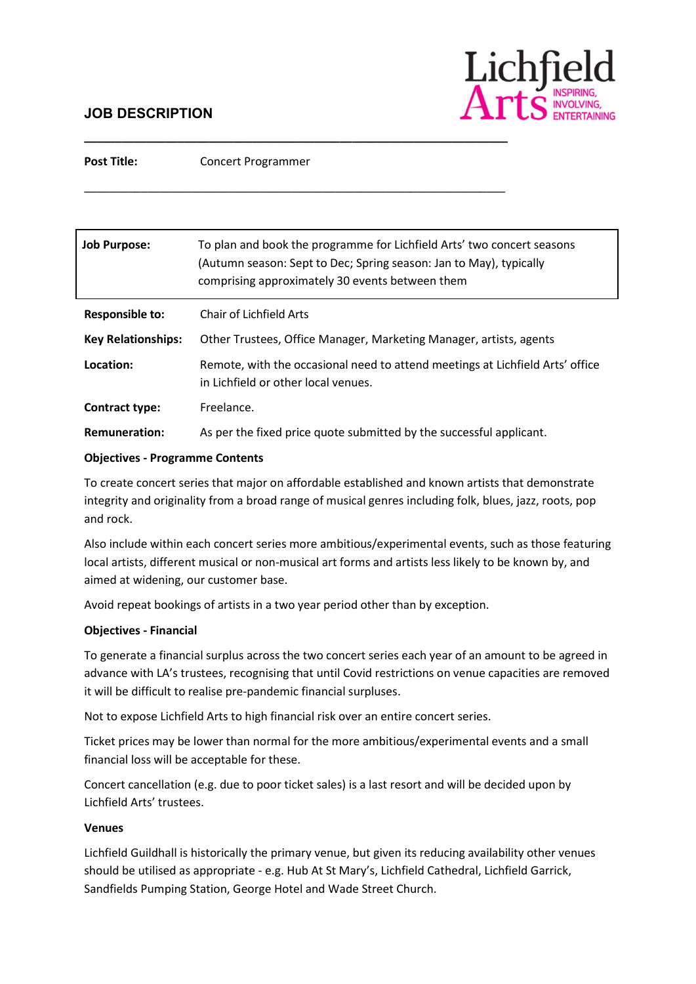# JOB DESCRIPTION



Post Title: Concert Programmer

\_\_\_\_\_\_\_\_\_\_\_\_\_\_\_\_\_\_\_\_\_\_\_\_\_\_\_\_\_\_\_\_\_\_\_\_\_\_\_\_\_\_\_\_\_\_\_\_\_\_\_\_\_\_\_\_\_\_\_\_\_\_\_\_\_\_\_\_

\_\_\_\_\_\_\_\_\_\_\_\_\_\_\_\_\_\_\_\_\_\_\_\_\_\_\_\_\_\_\_\_\_\_\_\_\_\_\_\_\_\_\_\_\_\_\_\_\_\_\_\_\_\_\_\_\_\_\_\_\_\_\_\_\_\_\_

| <b>Job Purpose:</b>       | To plan and book the programme for Lichfield Arts' two concert seasons<br>(Autumn season: Sept to Dec; Spring season: Jan to May), typically<br>comprising approximately 30 events between them |
|---------------------------|-------------------------------------------------------------------------------------------------------------------------------------------------------------------------------------------------|
| Responsible to:           | Chair of Lichfield Arts                                                                                                                                                                         |
| <b>Key Relationships:</b> | Other Trustees, Office Manager, Marketing Manager, artists, agents                                                                                                                              |
| Location:                 | Remote, with the occasional need to attend meetings at Lichfield Arts' office<br>in Lichfield or other local venues.                                                                            |
| Contract type:            | Freelance.                                                                                                                                                                                      |
| <b>Remuneration:</b>      | As per the fixed price quote submitted by the successful applicant.                                                                                                                             |

#### Objectives - Programme Contents

To create concert series that major on affordable established and known artists that demonstrate integrity and originality from a broad range of musical genres including folk, blues, jazz, roots, pop and rock.

Also include within each concert series more ambitious/experimental events, such as those featuring local artists, different musical or non-musical art forms and artists less likely to be known by, and aimed at widening, our customer base.

Avoid repeat bookings of artists in a two year period other than by exception.

#### Objectives - Financial

To generate a financial surplus across the two concert series each year of an amount to be agreed in advance with LA's trustees, recognising that until Covid restrictions on venue capacities are removed it will be difficult to realise pre-pandemic financial surpluses.

Not to expose Lichfield Arts to high financial risk over an entire concert series.

Ticket prices may be lower than normal for the more ambitious/experimental events and a small financial loss will be acceptable for these.

Concert cancellation (e.g. due to poor ticket sales) is a last resort and will be decided upon by Lichfield Arts' trustees.

#### Venues

Lichfield Guildhall is historically the primary venue, but given its reducing availability other venues should be utilised as appropriate - e.g. Hub At St Mary's, Lichfield Cathedral, Lichfield Garrick, Sandfields Pumping Station, George Hotel and Wade Street Church.